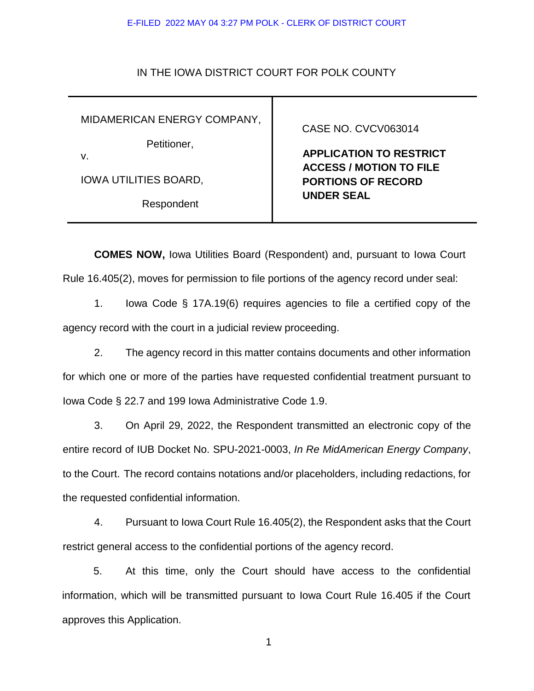#### E-FILED 2022 MAY 04 3:27 PM POLK - CLERK OF DISTRICT COURT

### IN THE IOWA DISTRICT COURT FOR POLK COUNTY

MIDAMERICAN ENERGY COMPANY,

Petitioner,

v.

IOWA UTILITIES BOARD,

Respondent

### CASE NO. CVCV063014

 **APPLICATION TO RESTRICT ACCESS / MOTION TO FILE PORTIONS OF RECORD UNDER SEAL**

**COMES NOW,** Iowa Utilities Board (Respondent) and, pursuant to Iowa Court Rule 16.405(2), moves for permission to file portions of the agency record under seal:

1. Iowa Code § 17A.19(6) requires agencies to file a certified copy of the agency record with the court in a judicial review proceeding.

2. The agency record in this matter contains documents and other information for which one or more of the parties have requested confidential treatment pursuant to Iowa Code § 22.7 and 199 Iowa Administrative Code 1.9.

3. On April 29, 2022, the Respondent transmitted an electronic copy of the entire record of IUB Docket No. SPU-2021-0003, *In Re MidAmerican Energy Company*, to the Court. The record contains notations and/or placeholders, including redactions, for the requested confidential information.

4. Pursuant to Iowa Court Rule 16.405(2), the Respondent asks that the Court restrict general access to the confidential portions of the agency record.

5. At this time, only the Court should have access to the confidential information, which will be transmitted pursuant to Iowa Court Rule 16.405 if the Court approves this Application.

1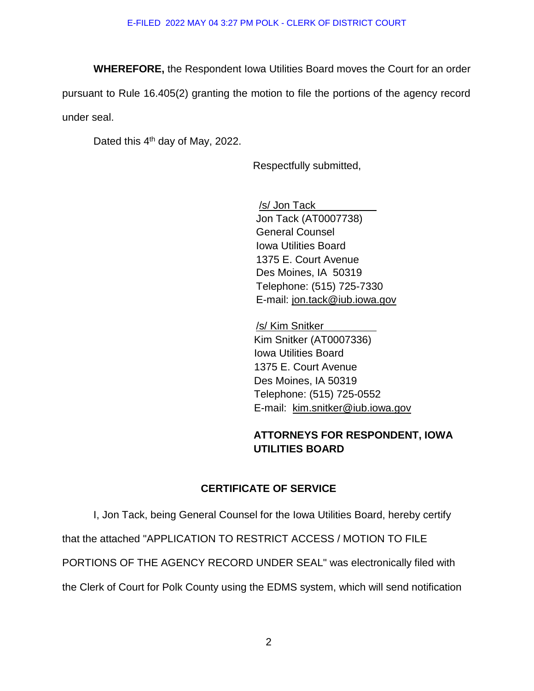**WHEREFORE,** the Respondent Iowa Utilities Board moves the Court for an order

pursuant to Rule 16.405(2) granting the motion to file the portions of the agency record under seal.

Dated this 4<sup>th</sup> day of May, 2022.

Respectfully submitted,

/s/ Jon Tack Jon Tack (AT0007738) General Counsel Iowa Utilities Board 1375 E. Court Avenue Des Moines, IA 50319 Telephone: (515) 725-7330 E-mail: jon.tack@iub.iowa.gov

/s/ Kim Snitker Kim Snitker (AT0007336) Iowa Utilities Board 1375 E. Court Avenue Des Moines, IA 50319 Telephone: (515) 725-0552 E-mail: kim.snitker@iub.iowa.gov

# **ATTORNEYS FOR RESPONDENT, IOWA UTILITIES BOARD**

## **CERTIFICATE OF SERVICE**

I, Jon Tack, being General Counsel for the Iowa Utilities Board, hereby certify that the attached "APPLICATION TO RESTRICT ACCESS / MOTION TO FILE PORTIONS OF THE AGENCY RECORD UNDER SEAL" was electronically filed with the Clerk of Court for Polk County using the EDMS system, which will send notification